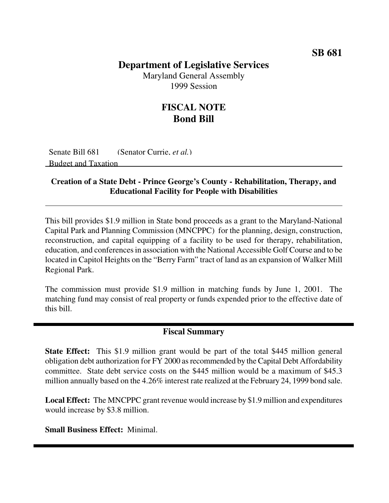#### **SB 681**

### **Department of Legislative Services**

Maryland General Assembly 1999 Session

## **FISCAL NOTE Bond Bill**

Senate Bill 681 (Senator Currie, *et al.*) Budget and Taxation

#### **Creation of a State Debt - Prince George's County - Rehabilitation, Therapy, and Educational Facility for People with Disabilities**

This bill provides \$1.9 million in State bond proceeds as a grant to the Maryland-National Capital Park and Planning Commission (MNCPPC) for the planning, design, construction, reconstruction, and capital equipping of a facility to be used for therapy, rehabilitation, education, and conferences in association with the National Accessible Golf Course and to be located in Capitol Heights on the "Berry Farm" tract of land as an expansion of Walker Mill Regional Park.

The commission must provide \$1.9 million in matching funds by June 1, 2001. The matching fund may consist of real property or funds expended prior to the effective date of this bill.

#### **Fiscal Summary**

**State Effect:** This \$1.9 million grant would be part of the total \$445 million general obligation debt authorization for FY 2000 asrecommended by the Capital Debt Affordability committee. State debt service costs on the \$445 million would be a maximum of \$45.3 million annually based on the 4.26% interest rate realized at the February 24, 1999 bond sale.

**Local Effect:** The MNCPPC grant revenue would increase by \$1.9 million and expenditures would increase by \$3.8 million.

**Small Business Effect:** Minimal.